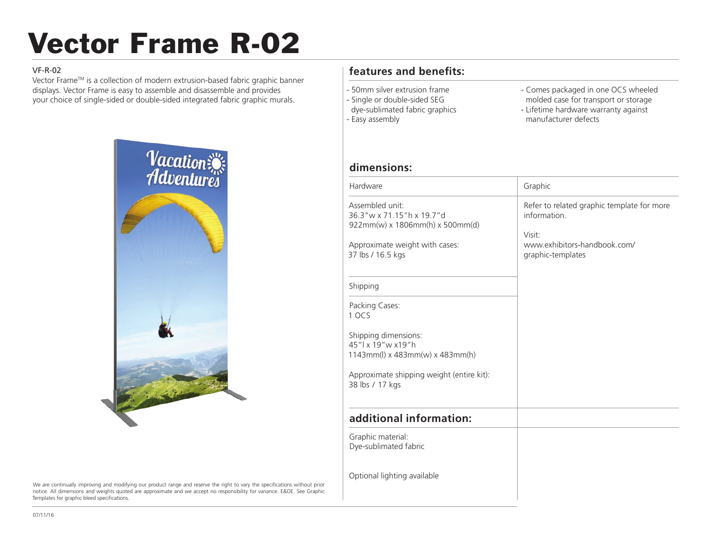# Vector Frame R-02

#### VF-R-02

Vector Frame™ is a collection of modern extrusion-based fabric graphic banner displays. Vector Frame is easy to assemble and disassemble and provides your choice of single-sided or double-sided integrated fabric graphic murals.



We are continually improving and modifying our product range and reserve the right to vary the specifications without prior notice. All dimensions and weights quoted are approximate and we accept no responsibility for variance. E&OE. See Graphic Templates for graphic bleed specifications.

### **features and benefits:**

- 50mm silver extrusion frame - Single or double-sided SEG dye-sublimated fabric graphics - Easy assembly

- Comes packaged in one OCS wheeled molded case for transport or storage
- Lifetime hardware warranty against manufacturer defects

### **dimensions:**

| Hardware                                                                                                                                                                                                                                                                                                                         | Graphic                                                                                                                   |
|----------------------------------------------------------------------------------------------------------------------------------------------------------------------------------------------------------------------------------------------------------------------------------------------------------------------------------|---------------------------------------------------------------------------------------------------------------------------|
| Assembled unit:<br>36.3"w x 71.15"h x 19.7"d<br>922mm(w) x 1806mm(h) x 500mm(d)<br>Approximate weight with cases:<br>37 lbs / 16.5 kgs<br>Shipping<br>Packing Cases:<br>1 OCS<br>Shipping dimensions:<br>45"   x 19" w x19" h<br>1143mm(l) x 483mm(w) x 483mm(h)<br>Approximate shipping weight (entire kit):<br>38 lbs / 17 kgs | Refer to related graphic template for more<br>information.<br>Visit:<br>www.exhibitors-handbook.com/<br>graphic-templates |
| additional information:                                                                                                                                                                                                                                                                                                          |                                                                                                                           |
| Graphic material:<br>Dye-sublimated fabric                                                                                                                                                                                                                                                                                       |                                                                                                                           |
| Optional lighting available                                                                                                                                                                                                                                                                                                      |                                                                                                                           |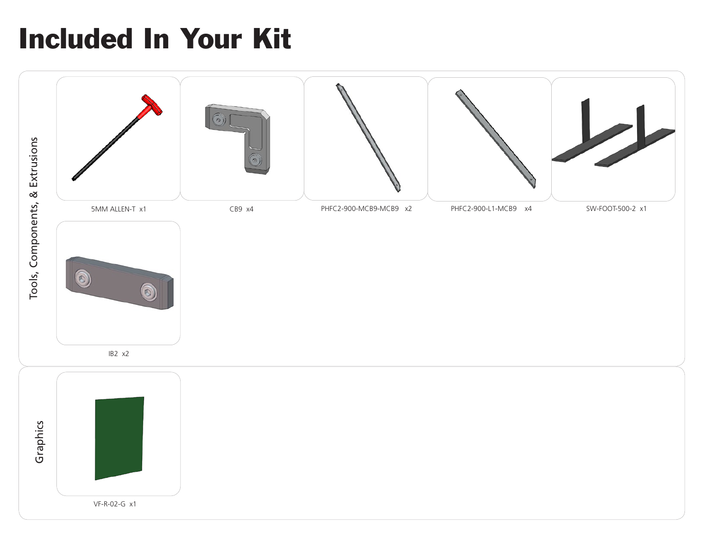## Included In Your Kit

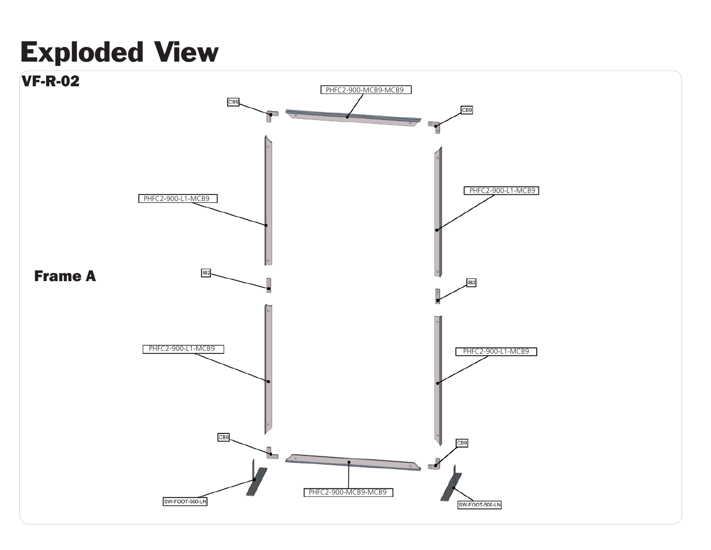## Exploded View

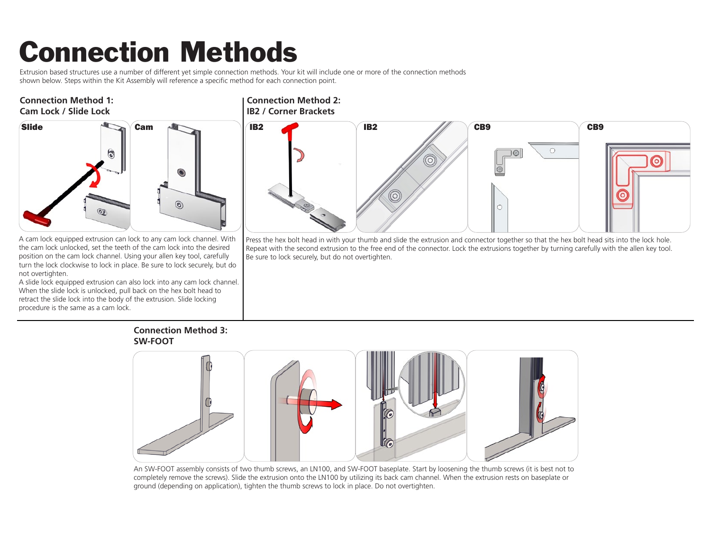## Connection Methods

Extrusion based structures use a number of different yet simple connection methods. Your kit will include one or more of the connection methods shown below. Steps within the Kit Assembly will reference a specific method for each connection point.





A cam lock equipped extrusion can lock to any cam lock channel. With the cam lock unlocked, set the teeth of the cam lock into the desired position on the cam lock channel. Using your allen key tool, carefully turn the lock clockwise to lock in place. Be sure to lock securely, but do not overtighten.

A slide lock equipped extrusion can also lock into any cam lock channel. When the slide lock is unlocked, pull back on the hex bolt head to retract the slide lock into the body of the extrusion. Slide locking procedure is the same as a cam lock.

#### **Connection Method 2: IB2 / Corner Brackets**



Press the hex bolt head in with your thumb and slide the extrusion and connector together so that the hex bolt head sits into the lock hole. Repeat with the second extrusion to the free end of the connector. Lock the extrusions together by turning carefully with the allen key tool. Be sure to lock securely, but do not overtighten.



An SW-FOOT assembly consists of two thumb screws, an LN100, and SW-FOOT baseplate. Start by loosening the thumb screws (it is best not to completely remove the screws). Slide the extrusion onto the LN100 by utilizing its back cam channel. When the extrusion rests on baseplate or ground (depending on application), tighten the thumb screws to lock in place. Do not overtighten.

#### **Connection Method 3: SW-FOOT**